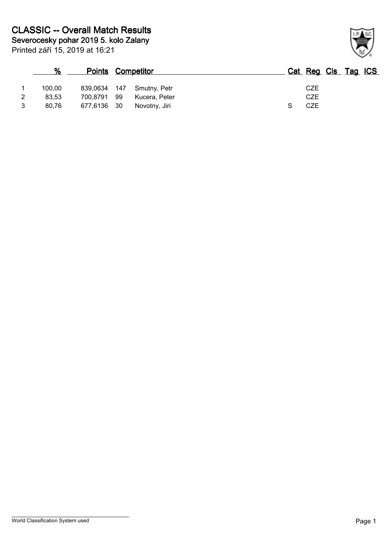|   | %      | <b>Points Competitor</b> |     |               | Cat Reg Cls Tag ICS |  |
|---|--------|--------------------------|-----|---------------|---------------------|--|
|   | 100.00 | 839.0634                 | 147 | Smutny, Petr  | CZE                 |  |
|   | 83.53  | 700,8791                 | -99 | Kucera, Peter | CZE                 |  |
| 2 | 80,76  | 677,6136 30              |     | Novotny, Jiri | CZE                 |  |

## World Classification System used **Page 1**

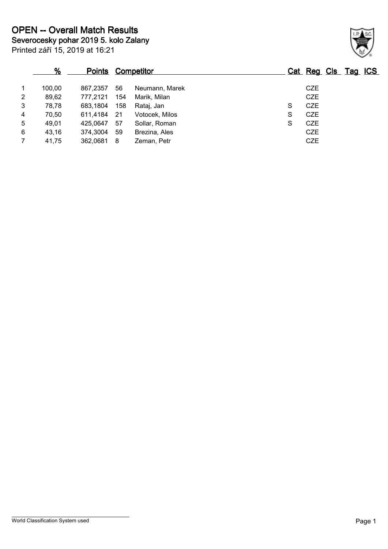|                | %      | <b>Points</b> |     | <u>Competitor</u> |   | Cat Reg Cls Tag ICS |  |  |
|----------------|--------|---------------|-----|-------------------|---|---------------------|--|--|
| 1              | 100,00 | 867.2357      | 56  | Neumann, Marek    |   | <b>CZE</b>          |  |  |
| 2              | 89,62  | 777,2121      | 154 | Marik, Milan      |   | <b>CZE</b>          |  |  |
| 3              | 78,78  | 683,1804      | 158 | Rataj, Jan        | S | <b>CZE</b>          |  |  |
| $\overline{4}$ | 70,50  | 611.4184      | -21 | Votocek, Milos    | S | <b>CZE</b>          |  |  |
| 5              | 49,01  | 425.0647      | 57  | Sollar, Roman     | S | <b>CZE</b>          |  |  |
| 6              | 43,16  | 374,3004      | 59  | Brezina, Ales     |   | <b>CZE</b>          |  |  |
| $\overline{7}$ | 41,75  | 362,0681      | 8   | Zeman, Petr       |   | <b>CZE</b>          |  |  |

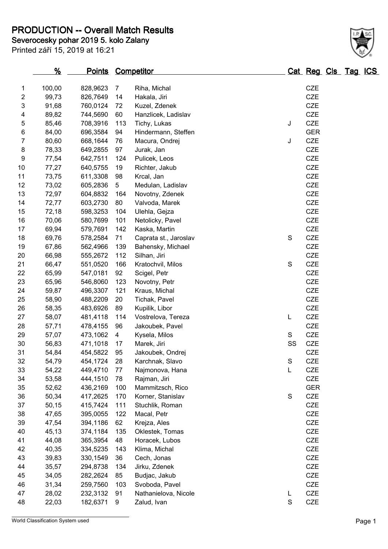**PRODUCTION -- Overall Match Results**

**Severocesky pohar 2019 5. kolo Zalany**

| Printed září 15, 2019 at 16:21 |
|--------------------------------|

 $\frac{1}{2}$ 

| 1                | 100,00 | 828,9623 | $\overline{7}$ | Riha, Michal          |               | <b>CZE</b> |
|------------------|--------|----------|----------------|-----------------------|---------------|------------|
| 2                | 99,73  | 826,7649 | 14             | Hakala, Jiri          |               | <b>CZE</b> |
| 3                | 91,68  | 760,0124 | 72             | Kuzel, Zdenek         |               | <b>CZE</b> |
| 4                | 89,82  | 744,5690 | 60             | Hanzlicek, Ladislav   |               | CZE        |
| $\mathbf 5$      | 85,46  | 708,3916 | 113            | Tichy, Lukas          | J             | CZE        |
| 6                | 84,00  | 696,3584 | 94             | Hindermann, Steffen   |               | <b>GER</b> |
| 7                | 80,60  | 668,1644 | 76             | Macura, Ondrej        | J             | <b>CZE</b> |
| 8                | 78,33  | 649,2855 | 97             | Jurak, Jan            |               | CZE        |
| $\boldsymbol{9}$ | 77,54  | 642,7511 | 124            | Pulicek, Leos         |               | CZE        |
| 10               | 77,27  | 640,5755 | 19             | Richter, Jakub        |               | CZE        |
| 11               | 73,75  | 611,3308 | 98             | Krcal, Jan            |               | <b>CZE</b> |
| 12               | 73,02  | 605,2836 | 5              | Medulan, Ladislav     |               | CZE        |
| 13               | 72,97  | 604,8832 | 164            | Novotny, Zdenek       |               | CZE        |
| 14               | 72,77  | 603,2730 | 80             | Valvoda, Marek        |               | CZE        |
| 15               | 72,18  | 598,3253 | 104            | Ulehla, Gejza         |               | <b>CZE</b> |
| 16               | 70,06  | 580,7699 | 101            | Netolicky, Pavel      |               | CZE        |
| 17               | 69,94  | 579,7691 | 142            | Kaska, Martin         |               | CZE        |
| 18               | 69,76  | 578,2584 | 71             | Caprata st., Jaroslav | ${\mathsf S}$ | CZE        |
| 19               | 67,86  | 562,4966 | 139            | Bahensky, Michael     |               | <b>CZE</b> |
| 20               | 66,98  | 555,2672 | 112            | Silhan, Jiri          |               | CZE        |
| 21               | 66,47  | 551,0520 | 166            | Kratochvil, Milos     | $\mathbf S$   | CZE        |
| 22               | 65,99  | 547,0181 | 92             | Scigel, Petr          |               | CZE        |
| 23               | 65,96  | 546,8060 | 123            | Novotny, Petr         |               | <b>CZE</b> |
| 24               | 59,87  | 496,3307 | 121            | Kraus, Michal         |               | CZE        |
| 25               | 58,90  | 488,2209 | 20             | Tichak, Pavel         |               | CZE        |
| 26               | 58,35  | 483,6926 | 89             | Kupilik, Libor        |               | CZE        |
| 27               | 58,07  | 481,4118 | 114            | Vostrelova, Tereza    | L             | CZE        |
| 28               | 57,71  | 478,4155 | 96             | Jakoubek, Pavel       |               | CZE        |
| 29               | 57,07  | 473,1062 | 4              | Kysela, Milos         | S             | CZE        |
| 30               | 56,83  | 471,1018 | 17             | Marek, Jiri           | SS            | CZE        |
| 31               | 54,84  | 454,5822 | 95             | Jakoubek, Ondrej      |               | <b>CZE</b> |
| 32               | 54,79  | 454,1724 | 28             | Karchnak, Slavo       | $\mathbb S$   | CZE        |
| 33               | 54,22  | 449,4710 | 77             | Najmonova, Hana       | L             | CZE        |
| 34               | 53,58  | 444,1510 | 78             | Rajman, Jiri          |               | <b>CZE</b> |
| 35               | 52,62  | 436,2169 | 100            | Mammitzsch, Rico      |               | <b>GER</b> |
| 36               | 50,34  | 417,2625 | 170            | Korner, Stanislav     | $\mathbf S$   | CZE        |
| 37               | 50,15  | 415,7424 | 111            | Stuchlik, Roman       |               | CZE        |
| 38               | 47,65  | 395,0055 | 122            | Macal, Petr           |               | CZE        |
| 39               | 47,54  | 394,1186 | 62             | Krejza, Ales          |               | CZE        |
| 40               | 45,13  | 374,1184 | 135            | Oklestek, Tomas       |               | CZE        |
| 41               | 44,08  | 365,3954 | 48             | Horacek, Lubos        |               | CZE        |
| 42               | 40,35  | 334,5235 | 143            | Klima, Michal         |               | CZE        |
| 43               | 39,83  | 330,1549 | 36             | Cech, Jonas           |               | CZE        |
| 44               | 35,57  | 294,8738 | 134            | Jirku, Zdenek         |               | CZE        |
| 45               | 34,05  | 282,2624 | 85             | Budjac, Jakub         |               | CZE        |
| 46               | 31,34  | 259,7560 | 103            | Svoboda, Pavel        |               | CZE        |
| 47               | 28,02  | 232,3132 | 91             | Nathanielova, Nicole  | L             | CZE        |
| 48               | 22,03  | 182,6371 | 9              | Zalud, Ivan           | $\mathbf S$   | CZE        |
|                  |        |          |                |                       |               |            |

**% Points Competitor Cat Reg Cls Tag ICS**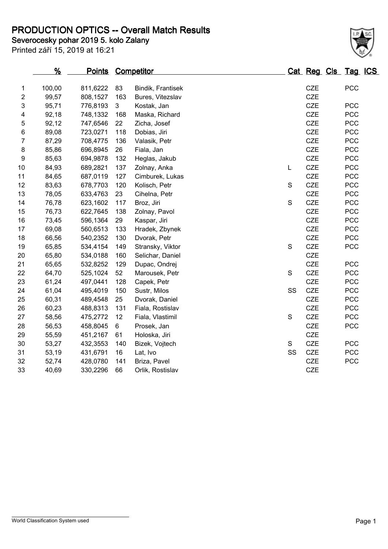## **PRODUCTION OPTICS -- Overall Match Results**

**Severocesky pohar 2019 5. kolo Zalany**

Printed září 15, 2019 at 16:21

|    | <u>%</u> |          |     | <u>Points</u><br>Competitor |             | Cat Reg Cls Tag ICS |            |  |
|----|----------|----------|-----|-----------------------------|-------------|---------------------|------------|--|
| 1  | 100,00   | 811,6222 | 83  | Bindik, Frantisek           |             | CZE                 | <b>PCC</b> |  |
| 2  | 99,57    | 808,1527 | 163 | Bures, Vitezslav            |             | <b>CZE</b>          |            |  |
| 3  | 95,71    | 776,8193 | 3   | Kostak, Jan                 |             | <b>CZE</b>          | <b>PCC</b> |  |
| 4  | 92,18    | 748,1332 | 168 | Maska, Richard              |             | <b>CZE</b>          | <b>PCC</b> |  |
| 5  | 92,12    | 747,6546 | 22  | Zicha, Josef                |             | <b>CZE</b>          | <b>PCC</b> |  |
| 6  | 89,08    | 723,0271 | 118 | Dobias, Jiri                |             | <b>CZE</b>          | <b>PCC</b> |  |
| 7  | 87,29    | 708,4775 | 136 | Valasik, Petr               |             | <b>CZE</b>          | <b>PCC</b> |  |
| 8  | 85,86    | 696,8945 | 26  | Fiala, Jan                  |             | <b>CZE</b>          | PCC        |  |
| 9  | 85,63    | 694,9878 | 132 | Heglas, Jakub               |             | <b>CZE</b>          | <b>PCC</b> |  |
| 10 | 84,93    | 689,2821 | 137 | Zolnay, Anka                | Г           | <b>CZE</b>          | <b>PCC</b> |  |
| 11 | 84,65    | 687,0119 | 127 | Cimburek, Lukas             |             | <b>CZE</b>          | <b>PCC</b> |  |
| 12 | 83,63    | 678,7703 | 120 | Kolisch, Petr               | S           | CZE                 | <b>PCC</b> |  |
| 13 | 78,05    | 633,4763 | 23  | Cihelna, Petr               |             | CZE                 | <b>PCC</b> |  |
| 14 | 76,78    | 623,1602 | 117 | Broz, Jiri                  | $\mathbf S$ | <b>CZE</b>          | PCC        |  |
| 15 | 76,73    | 622,7645 | 138 | Zolnay, Pavol               |             | <b>CZE</b>          | <b>PCC</b> |  |
| 16 | 73,45    | 596,1364 | 29  | Kaspar, Jiri                |             | <b>CZE</b>          | <b>PCC</b> |  |
| 17 | 69,08    | 560,6513 | 133 | Hradek, Zbynek              |             | <b>CZE</b>          | <b>PCC</b> |  |
| 18 | 66,56    | 540,2352 | 130 | Dvorak, Petr                |             | <b>CZE</b>          | <b>PCC</b> |  |
| 19 | 65,85    | 534,4154 | 149 | Stransky, Viktor            | $\mathbf S$ | CZE                 | <b>PCC</b> |  |
| 20 | 65,80    | 534,0188 | 160 | Selichar, Daniel            |             | CZE                 |            |  |
| 21 | 65,65    | 532,8252 | 129 | Dupac, Ondrej               |             | <b>CZE</b>          | <b>PCC</b> |  |
| 22 | 64,70    | 525,1024 | 52  | Marousek, Petr              | $\mathbf S$ | <b>CZE</b>          | <b>PCC</b> |  |
| 23 | 61,24    | 497,0441 | 128 | Capek, Petr                 |             | CZE                 | <b>PCC</b> |  |
| 24 | 61,04    | 495,4019 | 150 | Sustr, Milos                | SS          | <b>CZE</b>          | <b>PCC</b> |  |
| 25 | 60,31    | 489,4548 | 25  | Dvorak, Daniel              |             | <b>CZE</b>          | <b>PCC</b> |  |
| 26 | 60,23    | 488,8313 | 131 | Fiala, Rostislav            |             | CZE                 | PCC        |  |
| 27 | 58,56    | 475,2772 | 12  | Fiala, Vlastimil            | $\mathbf S$ | <b>CZE</b>          | <b>PCC</b> |  |
| 28 | 56,53    | 458,8045 | 6   | Prosek, Jan                 |             | <b>CZE</b>          | <b>PCC</b> |  |
| 29 | 55,59    | 451,2167 | 61  | Holoska, Jiri               |             | <b>CZE</b>          |            |  |
| 30 | 53,27    | 432,3553 | 140 | Bizek, Vojtech              | S           | <b>CZE</b>          | <b>PCC</b> |  |
| 31 | 53,19    | 431,6791 | 16  | Lat, Ivo                    | SS          | CZE                 | <b>PCC</b> |  |
| 32 | 52,74    | 428,0780 | 141 | Briza, Pavel                |             | <b>CZE</b>          | PCC        |  |
| 33 | 40,69    | 330,2296 | 66  | Orlik, Rostislav            |             | <b>CZE</b>          |            |  |

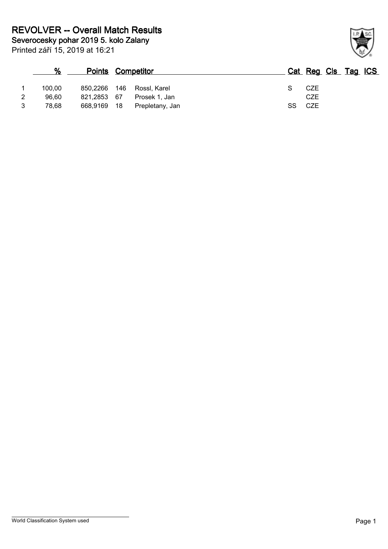|   | %      | <b>Points Competitor</b> |     |                 |    | Cat Reg Cls Tag ICS |  |
|---|--------|--------------------------|-----|-----------------|----|---------------------|--|
|   | 100.00 | 850,2266                 | 146 | Rossl, Karel    |    | CZE                 |  |
| 2 | 96.60  | 821,2853 67              |     | Prosek 1. Jan   |    | CZE                 |  |
| 3 | 78.68  | 668,9169                 | 18  | Prepletany, Jan | SS | CZE                 |  |

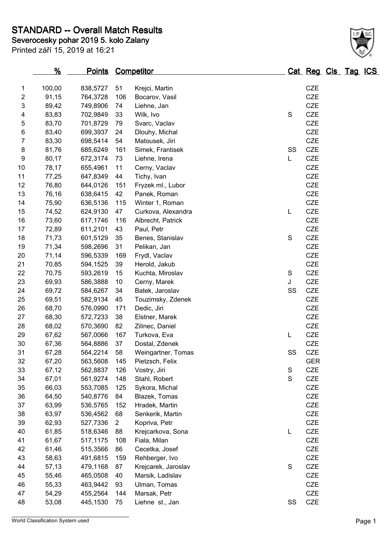## **STANDARD -- Overall Match Results**

| Severocesky pohar 2019 5. kolo Zalany<br>Printed září 15, 2019 at 16:21 |                     |  |  |  |  |
|-------------------------------------------------------------------------|---------------------|--|--|--|--|
| ℀<br>Competitor<br><b>Points</b>                                        | Cat Reg Cls Tag ICS |  |  |  |  |

| 1                         | 100,00 | 838,5727 | 51             | Krejci, Martin      |             | CZE        |
|---------------------------|--------|----------|----------------|---------------------|-------------|------------|
| $\boldsymbol{2}$          | 91,15  | 764,3728 | 106            | Bocarov, Vasil      |             | <b>CZE</b> |
| $\ensuremath{\mathsf{3}}$ | 89,42  | 749,8906 | 74             | Liehne, Jan         |             | <b>CZE</b> |
| $\overline{\mathcal{A}}$  | 83,83  | 702,9849 | 33             | Wilk, Ivo           | $\mathbf S$ | CZE        |
| 5                         | 83,70  | 701,8729 | 79             | Svarc, Vaclav       |             | CZE        |
| 6                         | 83,40  | 699,3937 | 24             | Dlouhy, Michal      |             | <b>CZE</b> |
| $\overline{7}$            | 83,30  | 698,5414 | 54             | Matousek, Jiri      |             | <b>CZE</b> |
| 8                         | 81,76  | 685,6249 | 161            | Simek, Frantisek    | SS          | CZE        |
| 9                         | 80,17  | 672,3174 | 73             | Liehne, Irena       | Г           | <b>CZE</b> |
| 10                        | 78,17  | 655,4961 | 11             | Cerny, Vaclav       |             | CZE        |
| 11                        | 77,25  | 647,8349 | 44             | Tichy, Ivan         |             | <b>CZE</b> |
| 12                        | 76,80  | 644,0126 | 151            | Fryzek ml., Lubor   |             | <b>CZE</b> |
| 13                        | 76,16  | 638,6415 | 42             | Panek, Roman        |             | <b>CZE</b> |
| 14                        | 75,90  | 636,5136 | 115            | Winter 1, Roman     |             | CZE        |
| 15                        | 74,52  | 624,9130 | 47             | Curkova, Alexandra  | L           | <b>CZE</b> |
| 16                        | 73,60  | 617,1746 | 116            | Albrecht, Patrick   |             | <b>CZE</b> |
| 17                        | 72,89  | 611,2101 | 43             | Paul, Petr          |             | <b>CZE</b> |
| 18                        | 71,73  | 601,5129 | 35             | Benes, Stanislav    | $\mathbf S$ | CZE        |
| 19                        | 71,34  | 598,2696 | 31             | Pelikan, Jan        |             | <b>CZE</b> |
| 20                        | 71,14  | 596,5339 | 169            | Frydl, Vaclav       |             | <b>CZE</b> |
| 21                        | 70,85  | 594,1525 | 39             | Herold, Jakub       |             | <b>CZE</b> |
| 22                        | 70,75  | 593,2619 | 15             | Kuchta, Miroslav    | $\mathbb S$ | <b>CZE</b> |
| 23                        | 69,93  | 586,3888 | 10             | Cerny, Marek        | J           | <b>CZE</b> |
| 24                        | 69,72  | 584,6267 | 34             | Batek, Jaroslav     | SS          | <b>CZE</b> |
| 25                        | 69,51  | 582,9134 | 45             | Touzimsky, Zdenek   |             | <b>CZE</b> |
| 26                        | 68,70  | 576,0990 | 171            | Dedic, Jiri         |             | <b>CZE</b> |
| 27                        | 68,30  | 572,7233 | 38             | Elstner, Marek      |             | <b>CZE</b> |
| 28                        | 68,02  | 570,3690 | 82             | Zilinec, Daniel     |             | <b>CZE</b> |
| 29                        | 67,62  | 567,0066 | 167            | Turkova, Eva        | L           | <b>CZE</b> |
| 30                        | 67,36  | 564,8886 | 37             | Dostal, Zdenek      |             | <b>CZE</b> |
| 31                        | 67,28  | 564,2214 | 58             | Weingartner, Tomas  | SS          | <b>CZE</b> |
| 32                        | 67,20  | 563,5608 | 145            | Pietzsch, Felix     |             | <b>GER</b> |
| 33                        | 67,12  | 562,8837 | 126            | Vostry, Jiri        | $\mathbf S$ | <b>CZE</b> |
| 34                        | 67,01  | 561,9274 | 148            | Stahl, Robert       | $\mathbf S$ | CZE        |
| 35                        | 66,03  | 553,7085 | 125            | Sykora, Michal      |             | CZE        |
| 36                        | 64,50  | 540,8776 | 84             | Blazek, Tomas       |             | <b>CZE</b> |
| 37                        | 63,99  | 536,5765 | 152            | Hradek, Martin      |             | <b>CZE</b> |
| 38                        | 63,97  | 536,4562 | 68             | Senkerik, Martin    |             | CZE        |
| 39                        | 62,93  | 527,7336 | $\overline{2}$ | Kopriva, Petr       |             | <b>CZE</b> |
| 40                        | 61,85  | 518,6346 | 88             | Krejcarkova, Sona   | L           | CZE        |
| 41                        | 61,67  | 517,1175 | 108            | Fiala, Milan        |             | <b>CZE</b> |
| 42                        | 61,46  | 515,3566 | 86             | Cecetka, Josef      |             | CZE        |
| 43                        | 58,63  | 491,6815 | 159            | Rehberger, Ivo      |             | <b>CZE</b> |
| 44                        | 57,13  | 479,1168 | 87             | Krejcarek, Jaroslav | S           | CZE        |
| 45                        | 55,46  | 465,0508 | 40             | Marsik, Ladislav    |             | CZE        |
| 46                        | 55,33  | 463,9442 | 93             | Ulman, Tomas        |             | <b>CZE</b> |
| 47                        | 54,29  | 455,2564 | 144            | Marsak, Petr        |             | CZE        |
| 48                        | 53,08  | 445,1530 | 75             | Liehne st., Jan     | SS          | CZE        |

World Classification System used Page 1